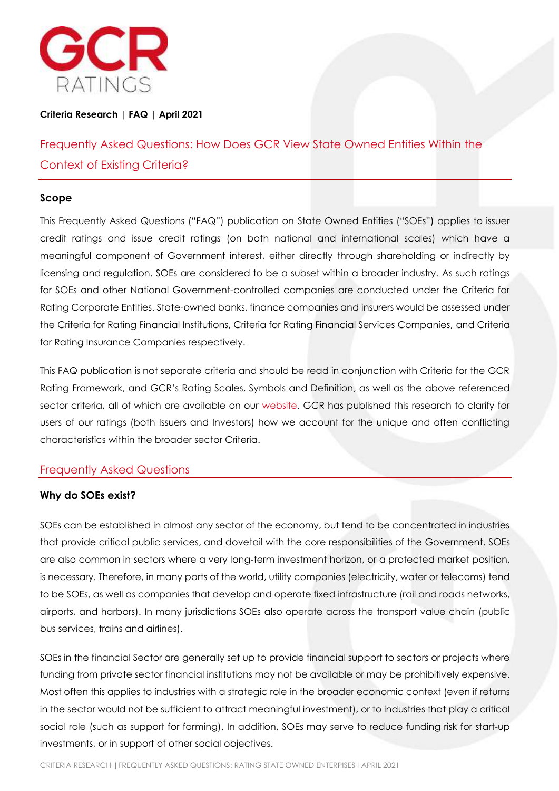

# **Criteria Research | FAQ | April 2021**

Frequently Asked Questions: How Does GCR View State Owned Entities Within the Context of Existing Criteria?

### **Scope**

This Frequently Asked Questions ("FAQ") publication on State Owned Entities ("SOEs") applies to issuer credit ratings and issue credit ratings (on both national and international scales) which have a meaningful component of Government interest, either directly through shareholding or indirectly by licensing and regulation. SOEs are considered to be a subset within a broader industry. As such ratings for SOEs and other National Government-controlled companies are conducted under the Criteria for Rating Corporate Entities. State-owned banks, finance companies and insurers would be assessed under the Criteria for Rating Financial Institutions, Criteria for Rating Financial Services Companies, and Criteria for Rating Insurance Companies respectively.

This FAQ publication is not separate criteria and should be read in conjunction with Criteria for the GCR Rating Framework, and GCR's Rating Scales, Symbols and Definition, as well as the above referenced sector criteria, all of which are available on our [website.](http://www.gcrratings.com/criteria) GCR has published this research to clarify for users of our ratings (both Issuers and Investors) how we account for the unique and often conflicting characteristics within the broader sector Criteria.

### Frequently Asked Questions

### **Why do SOEs exist?**

SOEs can be established in almost any sector of the economy, but tend to be concentrated in industries that provide critical public services, and dovetail with the core responsibilities of the Government. SOEs are also common in sectors where a very long-term investment horizon, or a protected market position, is necessary. Therefore, in many parts of the world, utility companies (electricity, water or telecoms) tend to be SOEs, as well as companies that develop and operate fixed infrastructure (rail and roads networks, airports, and harbors). In many jurisdictions SOEs also operate across the transport value chain (public bus services, trains and airlines).

SOEs in the financial Sector are generally set up to provide financial support to sectors or projects where funding from private sector financial institutions may not be available or may be prohibitively expensive. Most often this applies to industries with a strategic role in the broader economic context (even if returns in the sector would not be sufficient to attract meaningful investment), or to industries that play a critical social role (such as support for farming). In addition, SOEs may serve to reduce funding risk for start-up investments, or in support of other social objectives.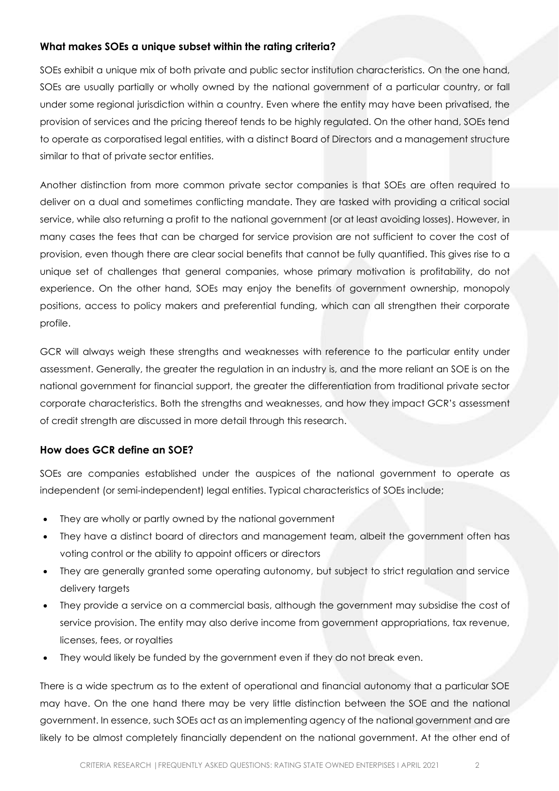# **What makes SOEs a unique subset within the rating criteria?**

SOEs exhibit a unique mix of both private and public sector institution characteristics. On the one hand, SOEs are usually partially or wholly owned by the national government of a particular country, or fall under some regional jurisdiction within a country. Even where the entity may have been privatised, the provision of services and the pricing thereof tends to be highly regulated. On the other hand, SOEs tend to operate as corporatised legal entities, with a distinct Board of Directors and a management structure similar to that of private sector entities.

Another distinction from more common private sector companies is that SOEs are often required to deliver on a dual and sometimes conflicting mandate. They are tasked with providing a critical social service, while also returning a profit to the national government (or at least avoiding losses). However, in many cases the fees that can be charged for service provision are not sufficient to cover the cost of provision, even though there are clear social benefits that cannot be fully quantified. This gives rise to a unique set of challenges that general companies, whose primary motivation is profitability, do not experience. On the other hand, SOEs may enjoy the benefits of government ownership, monopoly positions, access to policy makers and preferential funding, which can all strengthen their corporate profile.

GCR will always weigh these strengths and weaknesses with reference to the particular entity under assessment. Generally, the greater the regulation in an industry is, and the more reliant an SOE is on the national government for financial support, the greater the differentiation from traditional private sector corporate characteristics. Both the strengths and weaknesses, and how they impact GCR's assessment of credit strength are discussed in more detail through this research.

### **How does GCR define an SOE?**

SOEs are companies established under the auspices of the national government to operate as independent (or semi-independent) legal entities. Typical characteristics of SOEs include;

- They are wholly or partly owned by the national government
- They have a distinct board of directors and management team, albeit the government often has voting control or the ability to appoint officers or directors
- They are generally granted some operating autonomy, but subject to strict regulation and service delivery targets
- They provide a service on a commercial basis, although the government may subsidise the cost of service provision. The entity may also derive income from government appropriations, tax revenue, licenses, fees, or royalties
- They would likely be funded by the government even if they do not break even.

There is a wide spectrum as to the extent of operational and financial autonomy that a particular SOE may have. On the one hand there may be very little distinction between the SOE and the national government. In essence, such SOEs act as an implementing agency of the national government and are likely to be almost completely financially dependent on the national government. At the other end of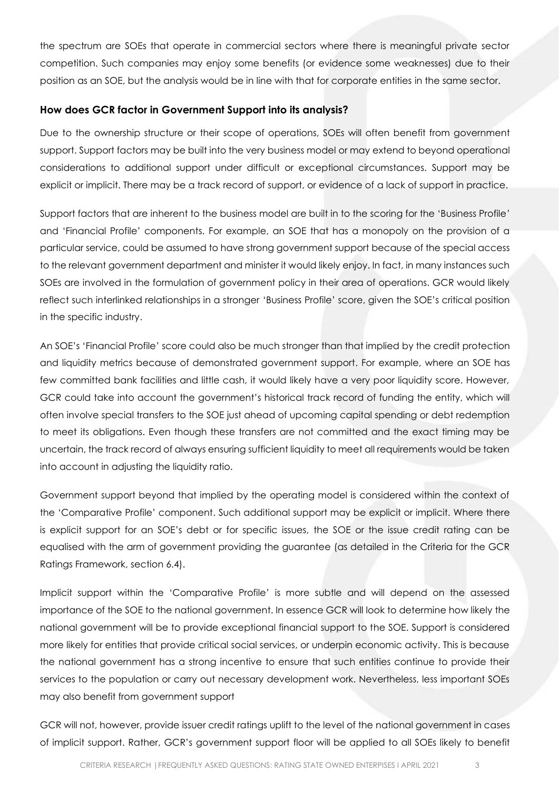the spectrum are SOEs that operate in commercial sectors where there is meaningful private sector competition. Such companies may enjoy some benefits (or evidence some weaknesses) due to their position as an SOE, but the analysis would be in line with that for corporate entities in the same sector.

### **How does GCR factor in Government Support into its analysis?**

Due to the ownership structure or their scope of operations, SOEs will often benefit from government support. Support factors may be built into the very business model or may extend to beyond operational considerations to additional support under difficult or exceptional circumstances. Support may be explicit or implicit. There may be a track record of support, or evidence of a lack of support in practice.

Support factors that are inherent to the business model are built in to the scoring for the 'Business Profile' and 'Financial Profile' components. For example, an SOE that has a monopoly on the provision of a particular service, could be assumed to have strong government support because of the special access to the relevant government department and minister it would likely enjoy. In fact, in many instances such SOEs are involved in the formulation of government policy in their area of operations. GCR would likely reflect such interlinked relationships in a stronger 'Business Profile' score, given the SOE's critical position in the specific industry.

An SOE's 'Financial Profile' score could also be much stronger than that implied by the credit protection and liquidity metrics because of demonstrated government support. For example, where an SOE has few committed bank facilities and little cash, it would likely have a very poor liquidity score. However, GCR could take into account the government's historical track record of funding the entity, which will often involve special transfers to the SOE just ahead of upcoming capital spending or debt redemption to meet its obligations. Even though these transfers are not committed and the exact timing may be uncertain, the track record of always ensuring sufficient liquidity to meet all requirements would be taken into account in adjusting the liquidity ratio.

Government support beyond that implied by the operating model is considered within the context of the 'Comparative Profile' component. Such additional support may be explicit or implicit. Where there is explicit support for an SOE's debt or for specific issues, the SOE or the issue credit rating can be equalised with the arm of government providing the guarantee (as detailed in the Criteria for the GCR Ratings Framework, section 6.4).

Implicit support within the 'Comparative Profile' is more subtle and will depend on the assessed importance of the SOE to the national government. In essence GCR will look to determine how likely the national government will be to provide exceptional financial support to the SOE. Support is considered more likely for entities that provide critical social services, or underpin economic activity. This is because the national government has a strong incentive to ensure that such entities continue to provide their services to the population or carry out necessary development work. Nevertheless, less important SOEs may also benefit from government support

GCR will not, however, provide issuer credit ratings uplift to the level of the national government in cases of implicit support. Rather, GCR's government support floor will be applied to all SOEs likely to benefit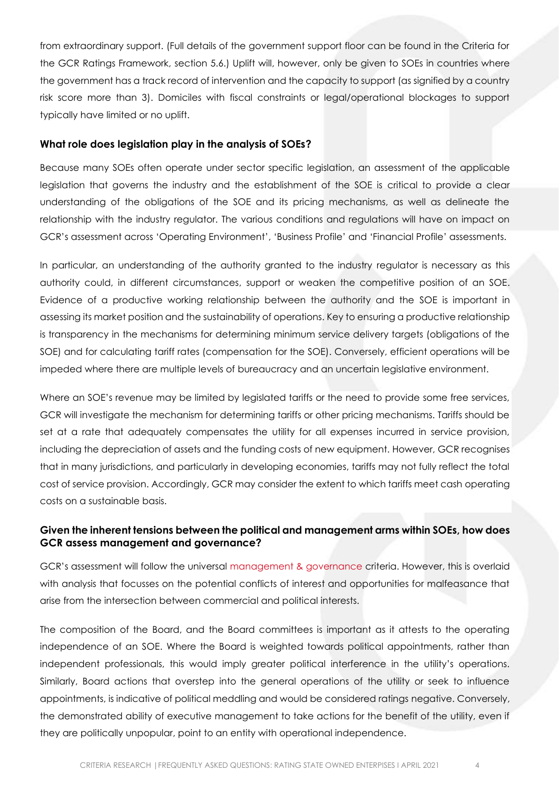from extraordinary support. (Full details of the government support floor can be found in the Criteria for the GCR Ratings Framework, section 5.6.) Uplift will, however, only be given to SOEs in countries where the government has a track record of intervention and the capacity to support (as signified by a country risk score more than 3). Domiciles with fiscal constraints or legal/operational blockages to support typically have limited or no uplift.

#### **What role does legislation play in the analysis of SOEs?**

Because many SOEs often operate under sector specific legislation, an assessment of the applicable legislation that governs the industry and the establishment of the SOE is critical to provide a clear understanding of the obligations of the SOE and its pricing mechanisms, as well as delineate the relationship with the industry regulator. The various conditions and regulations will have on impact on GCR's assessment across 'Operating Environment', 'Business Profile' and 'Financial Profile' assessments.

In particular, an understanding of the authority granted to the industry regulator is necessary as this authority could, in different circumstances, support or weaken the competitive position of an SOE. Evidence of a productive working relationship between the authority and the SOE is important in assessing its market position and the sustainability of operations. Key to ensuring a productive relationship is transparency in the mechanisms for determining minimum service delivery targets (obligations of the SOE) and for calculating tariff rates (compensation for the SOE). Conversely, efficient operations will be impeded where there are multiple levels of bureaucracy and an uncertain legislative environment.

Where an SOE's revenue may be limited by legislated tariffs or the need to provide some free services, GCR will investigate the mechanism for determining tariffs or other pricing mechanisms. Tariffs should be set at a rate that adequately compensates the utility for all expenses incurred in service provision, including the depreciation of assets and the funding costs of new equipment. However, GCR recognises that in many jurisdictions, and particularly in developing economies, tariffs may not fully reflect the total cost of service provision. Accordingly, GCR may consider the extent to which tariffs meet cash operating costs on a sustainable basis.

### **Given the inherent tensions between the political and management arms within SOEs, how does GCR assess management and governance?**

GCR's assessment will follow the universal [management & governance](http://gcrratings.com/criteria) criteria. However, this is overlaid with analysis that focusses on the potential conflicts of interest and opportunities for malfeasance that arise from the intersection between commercial and political interests.

The composition of the Board, and the Board committees is important as it attests to the operating independence of an SOE. Where the Board is weighted towards political appointments, rather than independent professionals, this would imply greater political interference in the utility's operations. Similarly, Board actions that overstep into the general operations of the utility or seek to influence appointments, is indicative of political meddling and would be considered ratings negative. Conversely, the demonstrated ability of executive management to take actions for the benefit of the utility, even if they are politically unpopular, point to an entity with operational independence.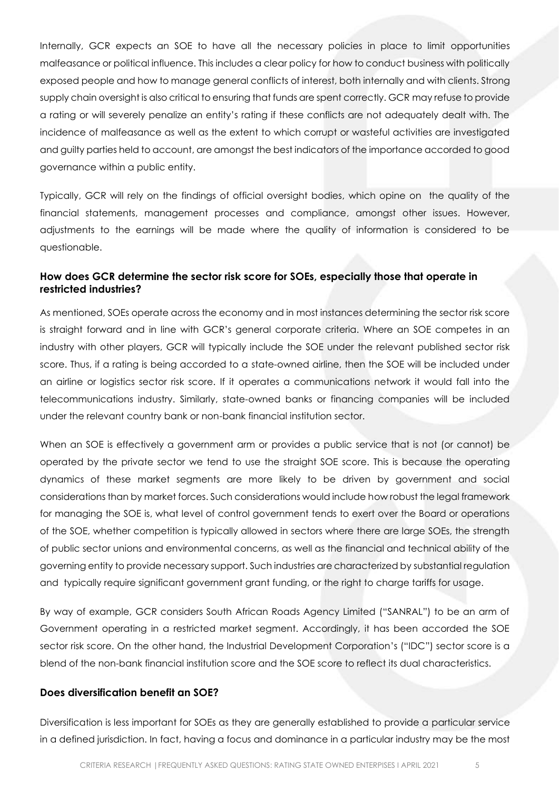Internally, GCR expects an SOE to have all the necessary policies in place to limit opportunities malfeasance or political influence. This includes a clear policy for how to conduct business with politically exposed people and how to manage general conflicts of interest, both internally and with clients. Strong supply chain oversight is also critical to ensuring that funds are spent correctly. GCR may refuse to provide a rating or will severely penalize an entity's rating if these conflicts are not adequately dealt with. The incidence of malfeasance as well as the extent to which corrupt or wasteful activities are investigated and guilty parties held to account, are amongst the best indicators of the importance accorded to good governance within a public entity.

Typically, GCR will rely on the findings of official oversight bodies, which opine on the quality of the financial statements, management processes and compliance, amongst other issues. However, adjustments to the earnings will be made where the quality of information is considered to be questionable.

# **How does GCR determine the sector risk score for SOEs, especially those that operate in restricted industries?**

As mentioned, SOEs operate across the economy and in most instances determining the sector risk score is straight forward and in line with GCR's general corporate criteria. Where an SOE competes in an industry with other players, GCR will typically include the SOE under the relevant published sector risk score. Thus, if a rating is being accorded to a state-owned airline, then the SOE will be included under an airline or logistics sector risk score. If it operates a communications network it would fall into the telecommunications industry. Similarly, state-owned banks or financing companies will be included under the relevant country bank or non-bank financial institution sector.

When an SOE is effectively a government arm or provides a public service that is not (or cannot) be operated by the private sector we tend to use the straight SOE score. This is because the operating dynamics of these market segments are more likely to be driven by government and social considerations than by market forces. Such considerations would include how robust the legal framework for managing the SOE is, what level of control government tends to exert over the Board or operations of the SOE, whether competition is typically allowed in sectors where there are large SOEs, the strength of public sector unions and environmental concerns, as well as the financial and technical ability of the governing entity to provide necessary support. Such industries are characterized by substantial regulation and typically require significant government grant funding, or the right to charge tariffs for usage.

By way of example, GCR considers South African Roads Agency Limited ("SANRAL") to be an arm of Government operating in a restricted market segment. Accordingly, it has been accorded the SOE sector risk score. On the other hand, the Industrial Development Corporation's ("IDC") sector score is a blend of the non-bank financial institution score and the SOE score to reflect its dual characteristics.

#### **Does diversification benefit an SOE?**

Diversification is less important for SOEs as they are generally established to provide a particular service in a defined jurisdiction. In fact, having a focus and dominance in a particular industry may be the most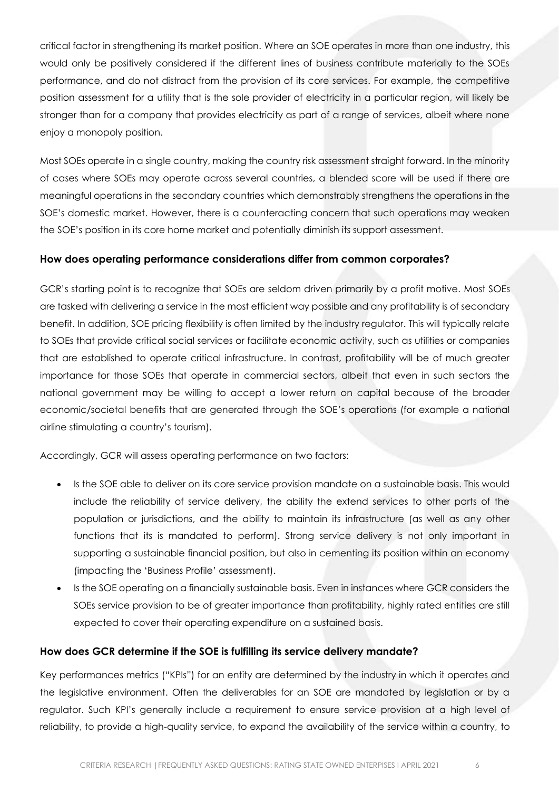critical factor in strengthening its market position. Where an SOE operates in more than one industry, this would only be positively considered if the different lines of business contribute materially to the SOEs performance, and do not distract from the provision of its core services. For example, the competitive position assessment for a utility that is the sole provider of electricity in a particular region, will likely be stronger than for a company that provides electricity as part of a range of services, albeit where none enjoy a monopoly position.

Most SOEs operate in a single country, making the country risk assessment straight forward. In the minority of cases where SOEs may operate across several countries, a blended score will be used if there are meaningful operations in the secondary countries which demonstrably strengthens the operations in the SOE's domestic market. However, there is a counteracting concern that such operations may weaken the SOE's position in its core home market and potentially diminish its support assessment.

### **How does operating performance considerations differ from common corporates?**

GCR's starting point is to recognize that SOEs are seldom driven primarily by a profit motive. Most SOEs are tasked with delivering a service in the most efficient way possible and any profitability is of secondary benefit. In addition, SOE pricing flexibility is often limited by the industry regulator. This will typically relate to SOEs that provide critical social services or facilitate economic activity, such as utilities or companies that are established to operate critical infrastructure. In contrast, profitability will be of much greater importance for those SOEs that operate in commercial sectors, albeit that even in such sectors the national government may be willing to accept a lower return on capital because of the broader economic/societal benefits that are generated through the SOE's operations (for example a national airline stimulating a country's tourism).

Accordingly, GCR will assess operating performance on two factors:

- Is the SOE able to deliver on its core service provision mandate on a sustainable basis. This would include the reliability of service delivery, the ability the extend services to other parts of the population or jurisdictions, and the ability to maintain its infrastructure (as well as any other functions that its is mandated to perform). Strong service delivery is not only important in supporting a sustainable financial position, but also in cementing its position within an economy (impacting the 'Business Profile' assessment).
- Is the SOE operating on a financially sustainable basis. Even in instances where GCR considers the SOEs service provision to be of greater importance than profitability, highly rated entities are still expected to cover their operating expenditure on a sustained basis.

### **How does GCR determine if the SOE is fulfilling its service delivery mandate?**

Key performances metrics ("KPIs") for an entity are determined by the industry in which it operates and the legislative environment. Often the deliverables for an SOE are mandated by legislation or by a regulator. Such KPI's generally include a requirement to ensure service provision at a high level of reliability, to provide a high-quality service, to expand the availability of the service within a country, to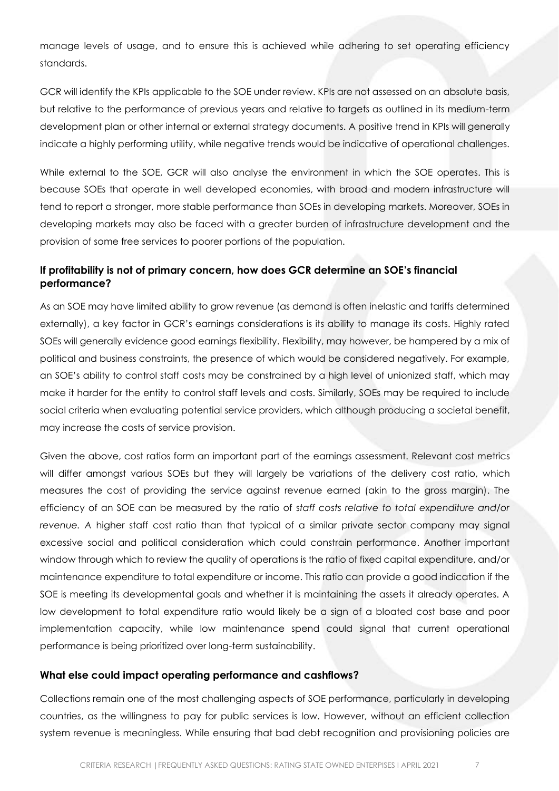manage levels of usage, and to ensure this is achieved while adhering to set operating efficiency standards.

GCR will identify the KPIs applicable to the SOE under review. KPIs are not assessed on an absolute basis, but relative to the performance of previous years and relative to targets as outlined in its medium-term development plan or other internal or external strategy documents. A positive trend in KPIs will generally indicate a highly performing utility, while negative trends would be indicative of operational challenges.

While external to the SOE, GCR will also analyse the environment in which the SOE operates. This is because SOEs that operate in well developed economies, with broad and modern infrastructure will tend to report a stronger, more stable performance than SOEs in developing markets. Moreover, SOEs in developing markets may also be faced with a greater burden of infrastructure development and the provision of some free services to poorer portions of the population.

# **If profitability is not of primary concern, how does GCR determine an SOE's financial performance?**

As an SOE may have limited ability to grow revenue (as demand is often inelastic and tariffs determined externally), a key factor in GCR's earnings considerations is its ability to manage its costs. Highly rated SOEs will generally evidence good earnings flexibility. Flexibility, may however, be hampered by a mix of political and business constraints, the presence of which would be considered negatively. For example, an SOE's ability to control staff costs may be constrained by a high level of unionized staff, which may make it harder for the entity to control staff levels and costs. Similarly, SOEs may be required to include social criteria when evaluating potential service providers, which although producing a societal benefit, may increase the costs of service provision.

Given the above, cost ratios form an important part of the earnings assessment. Relevant cost metrics will differ amongst various SOEs but they will largely be variations of the delivery cost ratio, which measures the cost of providing the service against revenue earned (akin to the gross margin). The efficiency of an SOE can be measured by the ratio of s*taff costs relative to total expenditure and/or revenue. A* higher staff cost ratio than that typical of a similar private sector company may signal excessive social and political consideration which could constrain performance. Another important window through which to review the quality of operations is the ratio of fixed capital expenditure, and/or maintenance expenditure to total expenditure or income. This ratio can provide a good indication if the SOE is meeting its developmental goals and whether it is maintaining the assets it already operates. A low development to total expenditure ratio would likely be a sign of a bloated cost base and poor implementation capacity, while low maintenance spend could signal that current operational performance is being prioritized over long-term sustainability.

#### **What else could impact operating performance and cashflows?**

Collections remain one of the most challenging aspects of SOE performance, particularly in developing countries, as the willingness to pay for public services is low. However, without an efficient collection system revenue is meaningless. While ensuring that bad debt recognition and provisioning policies are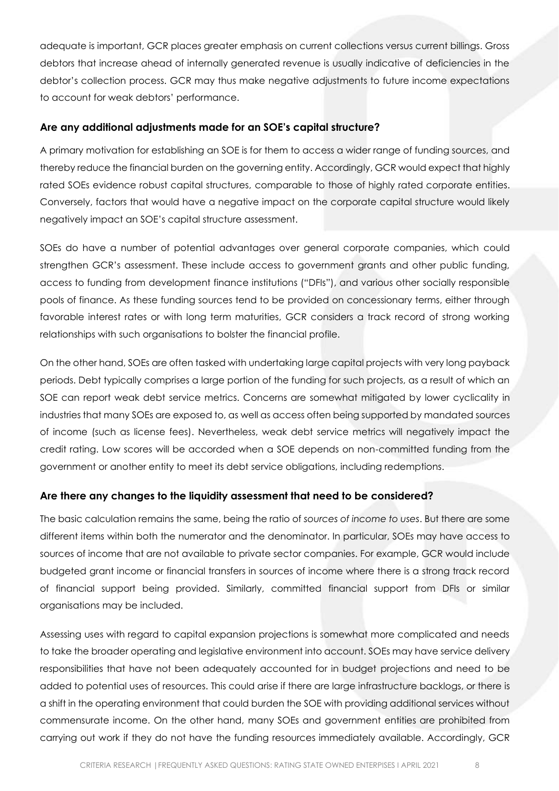adequate is important, GCR places greater emphasis on current collections versus current billings. Gross debtors that increase ahead of internally generated revenue is usually indicative of deficiencies in the debtor's collection process. GCR may thus make negative adjustments to future income expectations to account for weak debtors' performance.

### **Are any additional adjustments made for an SOE's capital structure?**

A primary motivation for establishing an SOE is for them to access a wider range of funding sources, and thereby reduce the financial burden on the governing entity. Accordingly, GCR would expect that highly rated SOEs evidence robust capital structures, comparable to those of highly rated corporate entities. Conversely, factors that would have a negative impact on the corporate capital structure would likely negatively impact an SOE's capital structure assessment.

SOEs do have a number of potential advantages over general corporate companies, which could strengthen GCR's assessment. These include access to government grants and other public funding, access to funding from development finance institutions ("DFIs"), and various other socially responsible pools of finance. As these funding sources tend to be provided on concessionary terms, either through favorable interest rates or with long term maturities, GCR considers a track record of strong working relationships with such organisations to bolster the financial profile.

On the other hand, SOEs are often tasked with undertaking large capital projects with very long payback periods. Debt typically comprises a large portion of the funding for such projects, as a result of which an SOE can report weak debt service metrics. Concerns are somewhat mitigated by lower cyclicality in industries that many SOEs are exposed to, as well as access often being supported by mandated sources of income (such as license fees). Nevertheless, weak debt service metrics will negatively impact the credit rating. Low scores will be accorded when a SOE depends on non-committed funding from the government or another entity to meet its debt service obligations, including redemptions.

### **Are there any changes to the liquidity assessment that need to be considered?**

The basic calculation remains the same, being the ratio of *sources of income to uses*. But there are some different items within both the numerator and the denominator. In particular, SOEs may have access to sources of income that are not available to private sector companies. For example, GCR would include budgeted grant income or financial transfers in sources of income where there is a strong track record of financial support being provided. Similarly, committed financial support from DFIs or similar organisations may be included.

Assessing uses with regard to capital expansion projections is somewhat more complicated and needs to take the broader operating and legislative environment into account. SOEs may have service delivery responsibilities that have not been adequately accounted for in budget projections and need to be added to potential uses of resources. This could arise if there are large infrastructure backlogs, or there is a shift in the operating environment that could burden the SOE with providing additional services without commensurate income. On the other hand, many SOEs and government entities are prohibited from carrying out work if they do not have the funding resources immediately available. Accordingly, GCR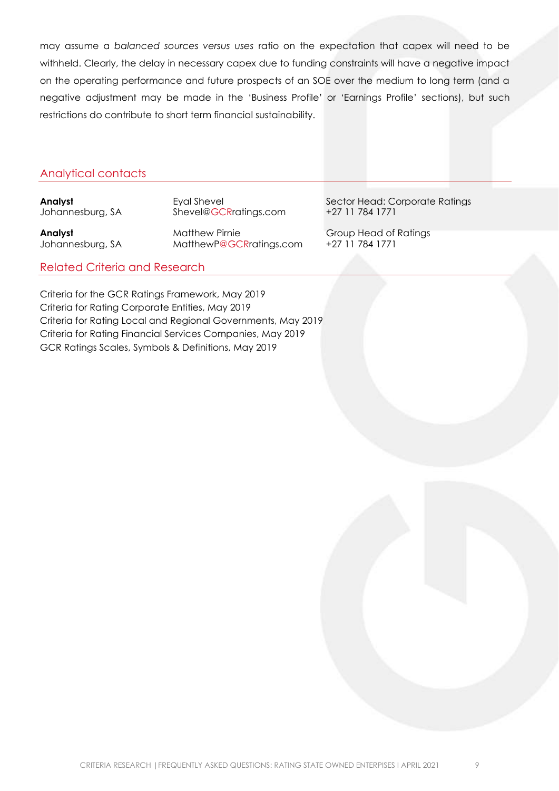may assume a *balanced sources versus uses* ratio on the expectation that capex will need to be withheld. Clearly, the delay in necessary capex due to funding constraints will have a negative impact on the operating performance and future prospects of an SOE over the medium to long term (and a negative adjustment may be made in the 'Business Profile' or 'Earnings Profile' sections), but such restrictions do contribute to short term financial sustainability.

#### Analytical contacts

Sheve[l@GCRratings.com](mailto:Vinay@GCRratings.com)

**Analyst**<br> **Analyst**<br>
Johannesburg, SA MatthewP@GCRratings.com +27 11 784 1771 [MatthewP@GCRratings.com](mailto:MatthewP@GCRratings.com)

**Analyst** Eyal Shevel Sector Head: Corporate Ratings<br>
Johannesburg, SA Shevel@GCRratings.com +27 11 784 1771

Related Criteria and Research

Criteria for the GCR Ratings Framework, May 2019 Criteria for Rating Corporate Entities, May 2019 Criteria for Rating Local and Regional Governments, May 2019 Criteria for Rating Financial Services Companies, May 2019 GCR Ratings Scales, Symbols & Definitions, May 2019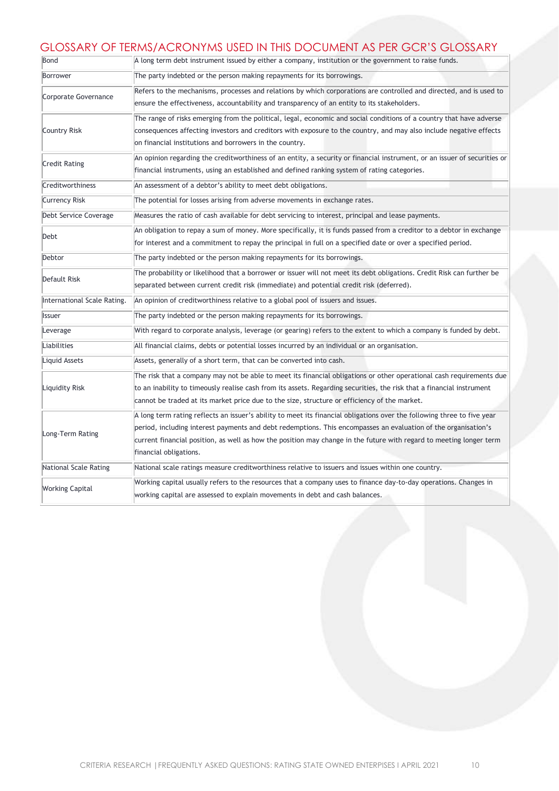# GLOSSARY OF TERMS/ACRONYMS USED IN THIS DOCUMENT AS PER GCR'S GLOSSARY

| Bond                        | A long term debt instrument issued by either a company, institution or the government to raise funds.                                                                                                                                                                                                                                                                                      |
|-----------------------------|--------------------------------------------------------------------------------------------------------------------------------------------------------------------------------------------------------------------------------------------------------------------------------------------------------------------------------------------------------------------------------------------|
| Borrower                    | The party indebted or the person making repayments for its borrowings.                                                                                                                                                                                                                                                                                                                     |
| Corporate Governance        | Refers to the mechanisms, processes and relations by which corporations are controlled and directed, and is used to<br>ensure the effectiveness, accountability and transparency of an entity to its stakeholders.                                                                                                                                                                         |
| Country Risk                | The range of risks emerging from the political, legal, economic and social conditions of a country that have adverse<br>consequences affecting investors and creditors with exposure to the country, and may also include negative effects<br>on financial institutions and borrowers in the country.                                                                                      |
| <b>Credit Rating</b>        | An opinion regarding the creditworthiness of an entity, a security or financial instrument, or an issuer of securities or<br>financial instruments, using an established and defined ranking system of rating categories.                                                                                                                                                                  |
| Creditworthiness            | An assessment of a debtor's ability to meet debt obligations.                                                                                                                                                                                                                                                                                                                              |
| <b>Currency Risk</b>        | The potential for losses arising from adverse movements in exchange rates.                                                                                                                                                                                                                                                                                                                 |
| Debt Service Coverage       | Measures the ratio of cash available for debt servicing to interest, principal and lease payments.                                                                                                                                                                                                                                                                                         |
| Debt                        | An obligation to repay a sum of money. More specifically, it is funds passed from a creditor to a debtor in exchange<br>for interest and a commitment to repay the principal in full on a specified date or over a specified period.                                                                                                                                                       |
| Debtor                      | The party indebted or the person making repayments for its borrowings.                                                                                                                                                                                                                                                                                                                     |
| Default Risk                | The probability or likelihood that a borrower or issuer will not meet its debt obligations. Credit Risk can further be<br>separated between current credit risk (immediate) and potential credit risk (deferred).                                                                                                                                                                          |
| International Scale Rating. | An opinion of creditworthiness relative to a global pool of issuers and issues.                                                                                                                                                                                                                                                                                                            |
| Issuer                      | The party indebted or the person making repayments for its borrowings.                                                                                                                                                                                                                                                                                                                     |
| Leverage                    | With regard to corporate analysis, leverage (or gearing) refers to the extent to which a company is funded by debt.                                                                                                                                                                                                                                                                        |
| Liabilities                 | All financial claims, debts or potential losses incurred by an individual or an organisation.                                                                                                                                                                                                                                                                                              |
| Liquid Assets               | Assets, generally of a short term, that can be converted into cash.                                                                                                                                                                                                                                                                                                                        |
| Liquidity Risk              | The risk that a company may not be able to meet its financial obligations or other operational cash requirements due<br>to an inability to timeously realise cash from its assets. Regarding securities, the risk that a financial instrument<br>cannot be traded at its market price due to the size, structure or efficiency of the market.                                              |
| Long-Term Rating            | A long term rating reflects an issuer's ability to meet its financial obligations over the following three to five year<br>period, including interest payments and debt redemptions. This encompasses an evaluation of the organisation's<br>current financial position, as well as how the position may change in the future with regard to meeting longer term<br>financial obligations. |
| National Scale Rating       | National scale ratings measure creditworthiness relative to issuers and issues within one country.                                                                                                                                                                                                                                                                                         |
| <b>Working Capital</b>      | Working capital usually refers to the resources that a company uses to finance day-to-day operations. Changes in<br>working capital are assessed to explain movements in debt and cash balances.                                                                                                                                                                                           |